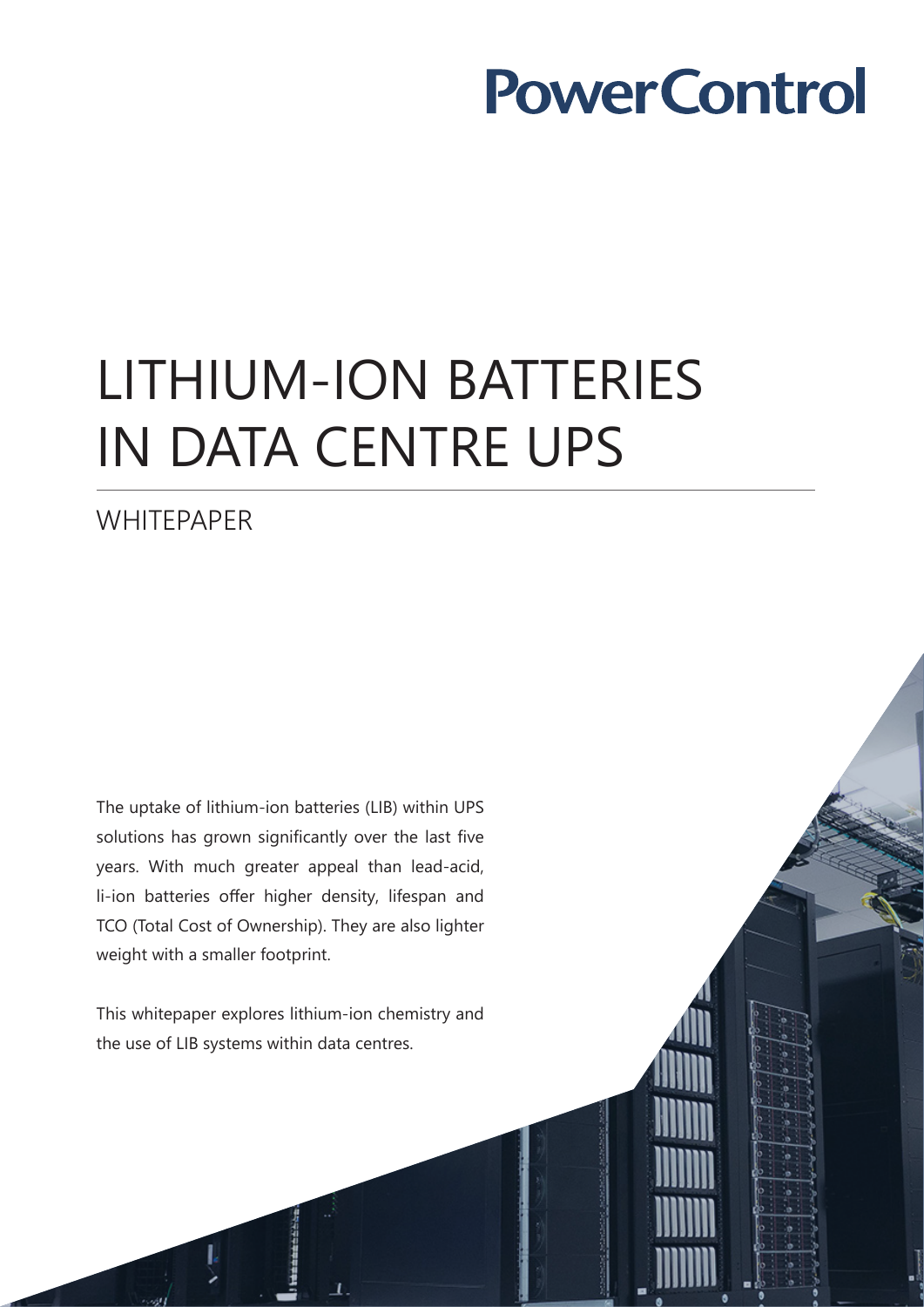# LITHIUM-ION BATTERIES IN DATA CENTRE UPS

### WHITEPAPER

The uptake of lithium-ion batteries (LIB) within UPS solutions has grown significantly over the last five years. With much greater appeal than lead-acid, li-ion batteries offer higher density, lifespan and TCO (Total Cost of Ownership). They are also lighter weight with a smaller footprint.

This whitepaper explores lithium-ion chemistry and the use of LIB systems within data centres.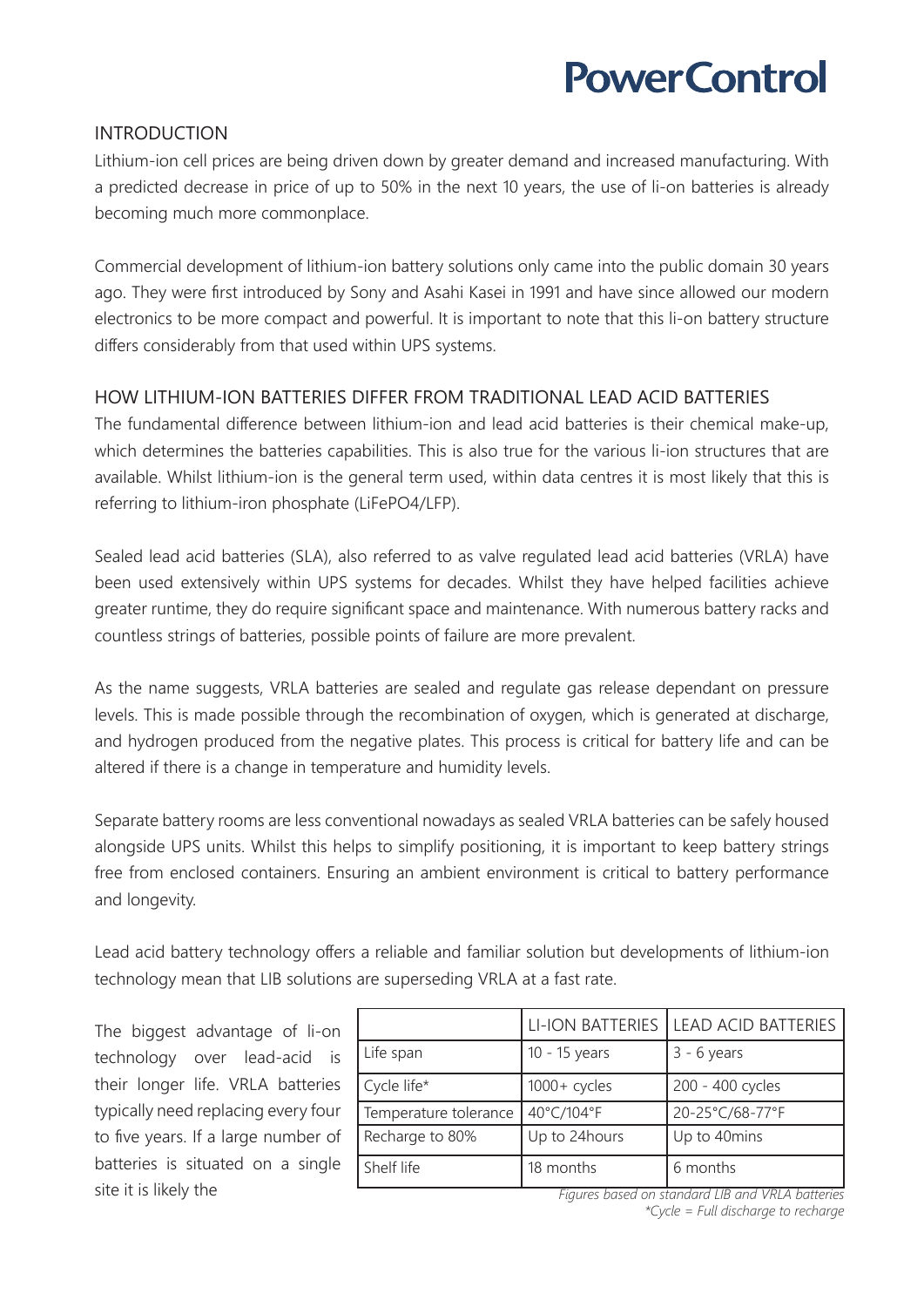### INTRODUCTION

Lithium-ion cell prices are being driven down by greater demand and increased manufacturing. With a predicted decrease in price of up to 50% in the next 10 years, the use of li-on batteries is already becoming much more commonplace.

Commercial development of lithium-ion battery solutions only came into the public domain 30 years ago. They were first introduced by Sony and Asahi Kasei in 1991 and have since allowed our modern electronics to be more compact and powerful. It is important to note that this li-on battery structure differs considerably from that used within UPS systems.

#### HOW LITHIUM-ION BATTERIES DIFFER FROM TRADITIONAL LEAD ACID BATTERIES

The fundamental difference between lithium-ion and lead acid batteries is their chemical make-up, which determines the batteries capabilities. This is also true for the various li-ion structures that are available. Whilst lithium-ion is the general term used, within data centres it is most likely that this is referring to lithium-iron phosphate (LiFePO4/LFP).

Sealed lead acid batteries (SLA), also referred to as valve regulated lead acid batteries (VRLA) have been used extensively within UPS systems for decades. Whilst they have helped facilities achieve greater runtime, they do require significant space and maintenance. With numerous battery racks and countless strings of batteries, possible points of failure are more prevalent.

As the name suggests, VRLA batteries are sealed and regulate gas release dependant on pressure levels. This is made possible through the recombination of oxygen, which is generated at discharge, and hydrogen produced from the negative plates. This process is critical for battery life and can be altered if there is a change in temperature and humidity levels.

Separate battery rooms are less conventional nowadays as sealed VRLA batteries can be safely housed alongside UPS units. Whilst this helps to simplify positioning, it is important to keep battery strings free from enclosed containers. Ensuring an ambient environment is critical to battery performance and longevity.

Lead acid battery technology offers a reliable and familiar solution but developments of lithium-ion technology mean that LIB solutions are superseding VRLA at a fast rate.

The biggest advantage of li-on technology over lead-acid is their longer life. VRLA batteries typically need replacing every four to five years. If a large number of batteries is situated on a single site it is likely the

|                       | LI-ION BATTERIES | LEAD ACID BATTERIES |  |
|-----------------------|------------------|---------------------|--|
| Life span             | $10 - 15$ years  | $3 - 6$ years       |  |
| Cycle life*           | $1000 + cycles$  | 200 - 400 cycles    |  |
| Temperature tolerance | 40°C/104°F       | 20-25°C/68-77°F     |  |
| Recharge to 80%       | Up to 24hours    | Up to 40mins        |  |
| Shelf life            | 18 months        | 6 months            |  |

*Figures based on standard LIB and VRLA batteries \*Cycle = Full discharge to recharge*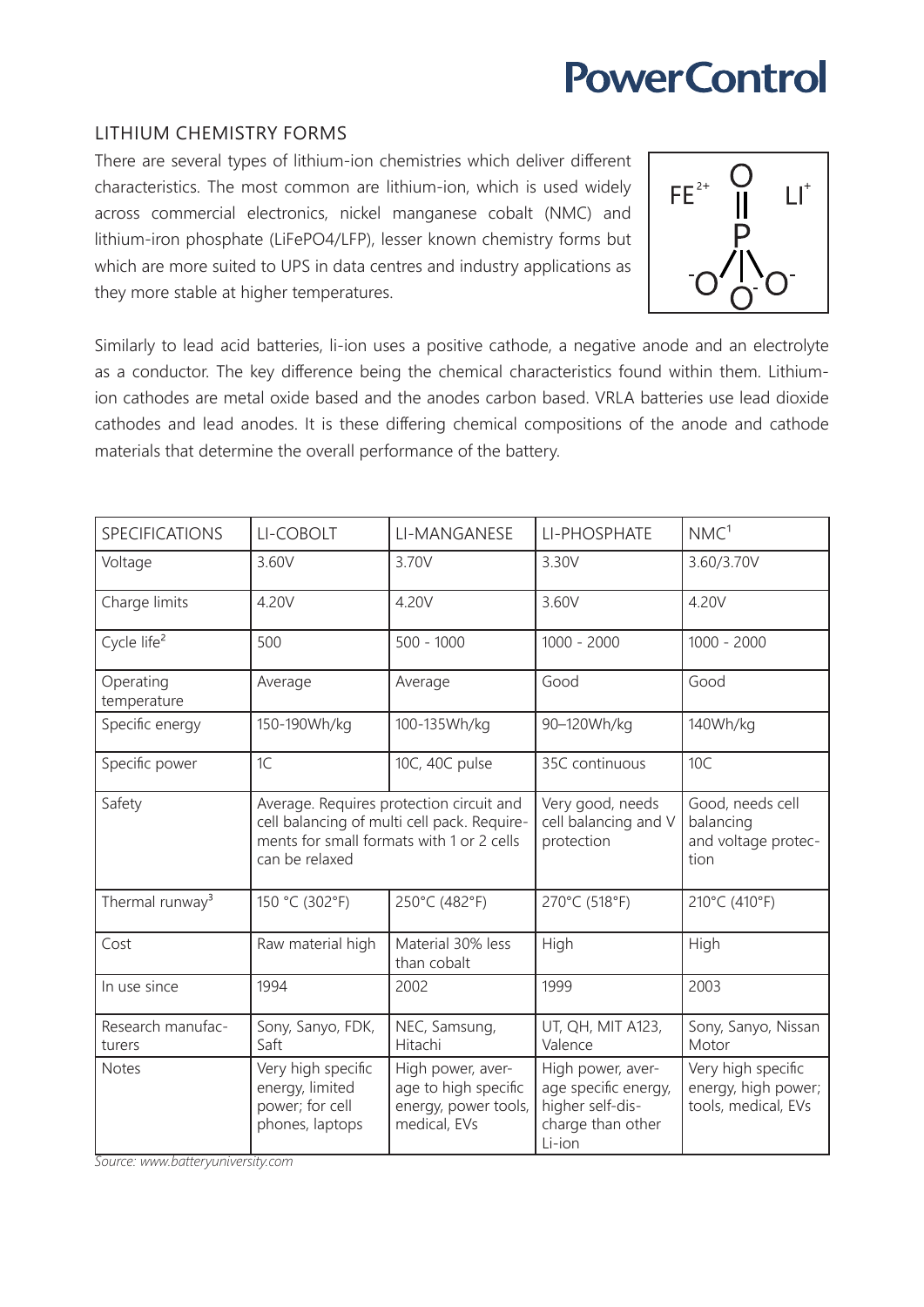### LITHIUM CHEMISTRY FORMS

There are several types of lithium-ion chemistries which deliver different characteristics. The most common are lithium-ion, which is used widely across commercial electronics, nickel manganese cobalt (NMC) and lithium-iron phosphate (LiFePO4/LFP), lesser known chemistry forms but which are more suited to UPS in data centres and industry applications as they more stable at higher temperatures.



Similarly to lead acid batteries, li-ion uses a positive cathode, a negative anode and an electrolyte as a conductor. The key difference being the chemical characteristics found within them. Lithiumion cathodes are metal oxide based and the anodes carbon based. VRLA batteries use lead dioxide cathodes and lead anodes. It is these differing chemical compositions of the anode and cathode materials that determine the overall performance of the battery.

| <b>SPECIFICATIONS</b>       | LI-COBOLT                                                                                                                                              | LI-MANGANESE                                                                      | LI-PHOSPHATE                                                                                 | NMC <sup>1</sup>                                                 |
|-----------------------------|--------------------------------------------------------------------------------------------------------------------------------------------------------|-----------------------------------------------------------------------------------|----------------------------------------------------------------------------------------------|------------------------------------------------------------------|
| Voltage                     | 3.60V                                                                                                                                                  | 3.70V                                                                             | 3.30V                                                                                        | 3.60/3.70V                                                       |
| Charge limits               | 4.20V                                                                                                                                                  | 4.20V                                                                             | 3.60V                                                                                        | 4.20V                                                            |
| Cycle life <sup>2</sup>     | 500                                                                                                                                                    | $500 - 1000$                                                                      | $1000 - 2000$                                                                                | $1000 - 2000$                                                    |
| Operating<br>temperature    | Average                                                                                                                                                | Average                                                                           | Good                                                                                         | Good                                                             |
| Specific energy             | 150-190Wh/kg                                                                                                                                           | 100-135Wh/kg                                                                      | 90-120Wh/kg                                                                                  | 140Wh/kg                                                         |
| Specific power              | 1C                                                                                                                                                     | 10C, 40C pulse                                                                    | 35C continuous                                                                               | 10C                                                              |
| Safety                      | Average. Requires protection circuit and<br>cell balancing of multi cell pack. Require-<br>ments for small formats with 1 or 2 cells<br>can be relaxed |                                                                                   | Very good, needs<br>cell balancing and V<br>protection                                       | Good, needs cell<br>balancing<br>and voltage protec-<br>tion     |
| Thermal runway <sup>3</sup> | 150 °C (302°F)                                                                                                                                         | 250°C (482°F)                                                                     | 270°C (518°F)                                                                                | 210°C (410°F)                                                    |
| Cost                        | Raw material high                                                                                                                                      | Material 30% less<br>than cobalt                                                  | High                                                                                         | High                                                             |
| In use since                | 1994                                                                                                                                                   | 2002                                                                              | 1999                                                                                         | 2003                                                             |
| Research manufac-<br>turers | Sony, Sanyo, FDK,<br>Saft                                                                                                                              | NEC, Samsung,<br>Hitachi                                                          | UT, QH, MIT A123,<br>Valence                                                                 | Sony, Sanyo, Nissan<br>Motor                                     |
| <b>Notes</b>                | Very high specific<br>energy, limited<br>power; for cell<br>phones, laptops                                                                            | High power, aver-<br>age to high specific<br>energy, power tools,<br>medical, EVs | High power, aver-<br>age specific energy,<br>higher self-dis-<br>charge than other<br>Li-ion | Very high specific<br>energy, high power;<br>tools, medical, EVs |

*Source: www.batteryuniversity.com*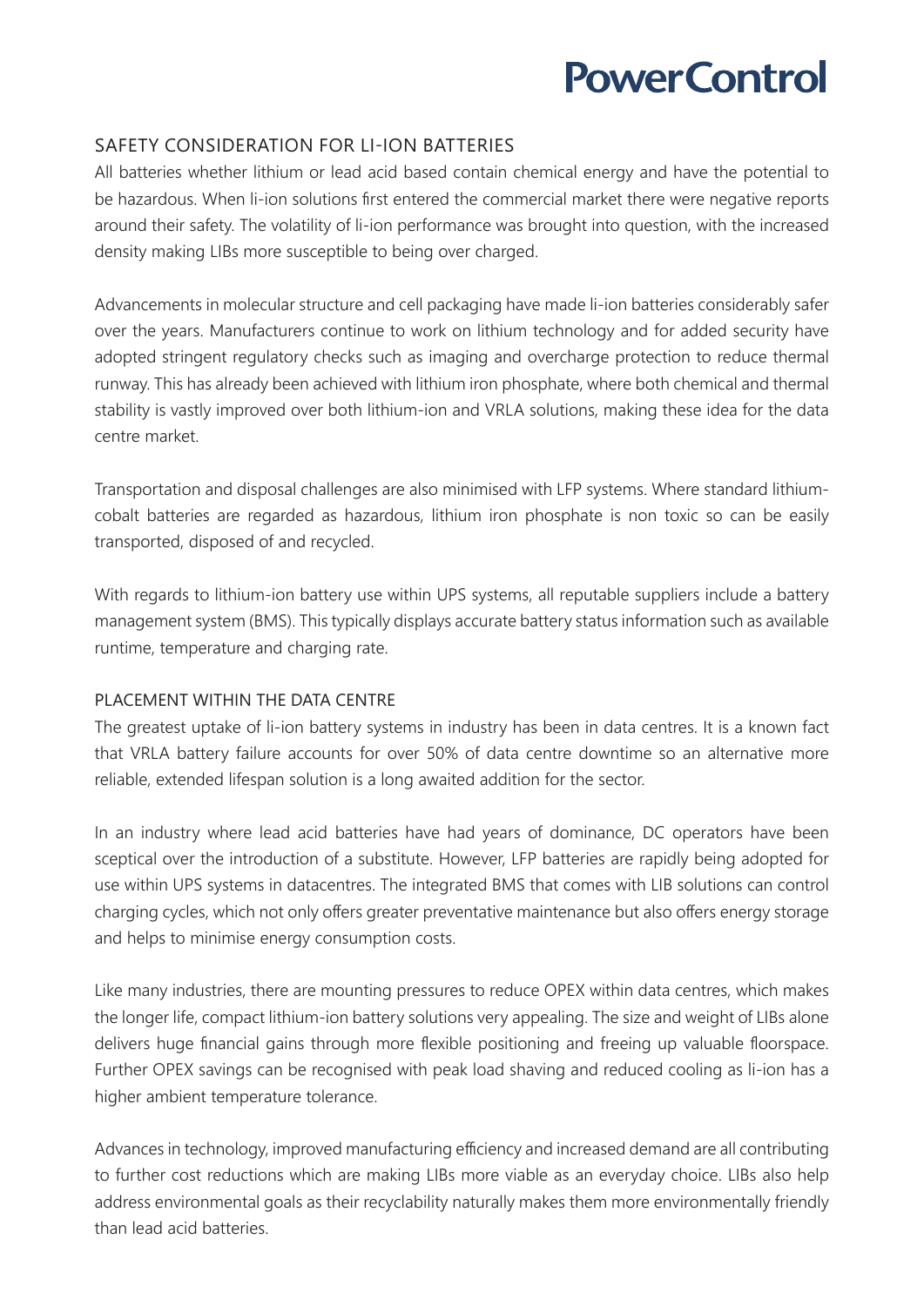

### SAFETY CONSIDERATION FOR LI-ION BATTERIES

All batteries whether lithium or lead acid based contain chemical energy and have the potential to be hazardous. When li-ion solutions first entered the commercial market there were negative reports around their safety. The volatility of li-ion performance was brought into question, with the increased density making LIBs more susceptible to being over charged.

Advancements in molecular structure and cell packaging have made li-ion batteries considerably safer over the years. Manufacturers continue to work on lithium technology and for added security have adopted stringent regulatory checks such as imaging and overcharge protection to reduce thermal runway. This has already been achieved with lithium iron phosphate, where both chemical and thermal stability is vastly improved over both lithium-ion and VRLA solutions, making these idea for the data centre market.

Transportation and disposal challenges are also minimised with LFP systems. Where standard lithiumcobalt batteries are regarded as hazardous, lithium iron phosphate is non toxic so can be easily transported, disposed of and recycled.

With regards to lithium-ion battery use within UPS systems, all reputable suppliers include a battery management system (BMS). This typically displays accurate battery status information such as available runtime, temperature and charging rate.

#### PLACEMENT WITHIN THE DATA CENTRE

The greatest uptake of li-ion battery systems in industry has been in data centres. It is a known fact that VRLA battery failure accounts for over 50% of data centre downtime so an alternative more reliable, extended lifespan solution is a long awaited addition for the sector.

In an industry where lead acid batteries have had years of dominance, DC operators have been sceptical over the introduction of a substitute. However, LFP batteries are rapidly being adopted for use within UPS systems in datacentres. The integrated BMS that comes with LIB solutions can control charging cycles, which not only offers greater preventative maintenance but also offers energy storage and helps to minimise energy consumption costs.

Like many industries, there are mounting pressures to reduce OPEX within data centres, which makes the longer life, compact lithium-ion battery solutions very appealing. The size and weight of LIBs alone delivers huge financial gains through more flexible positioning and freeing up valuable floorspace. Further OPEX savings can be recognised with peak load shaving and reduced cooling as li-ion has a higher ambient temperature tolerance.

Advances in technology, improved manufacturing efficiency and increased demand are all contributing to further cost reductions which are making LIBs more viable as an everyday choice. LIBs also help address environmental goals as their recyclability naturally makes them more environmentally friendly than lead acid batteries.